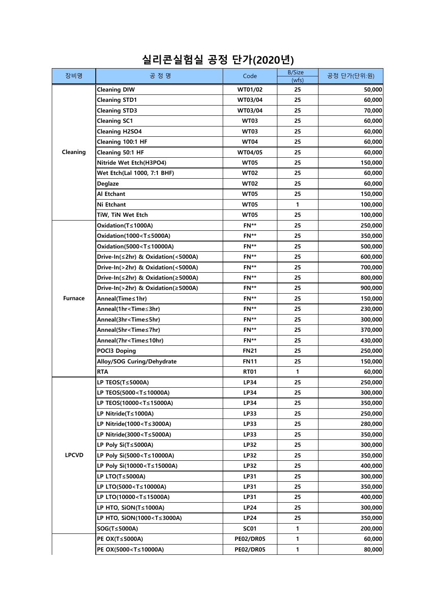| 장비명            | 공 정 명                                                                                           | Code             | <b>B/Size</b><br>(wfs) | 공정 단가(단위:원) |
|----------------|-------------------------------------------------------------------------------------------------|------------------|------------------------|-------------|
|                | <b>Cleaning DIW</b>                                                                             | WT01/02          | 25                     | 50,000      |
|                | <b>Cleaning STD1</b>                                                                            | WT03/04          | 25                     | 60,000      |
|                | <b>Cleaning STD3</b>                                                                            | WT03/04          | 25                     | 70,000      |
|                | <b>Cleaning SC1</b>                                                                             | <b>WT03</b>      | 25                     | 60,000      |
|                | <b>Cleaning H2SO4</b>                                                                           | <b>WT03</b>      | 25                     | 60,000      |
|                | Cleaning 100:1 HF                                                                               | <b>WT04</b>      | 25                     | 60,000      |
| Cleaning       | Cleaning 50:1 HF                                                                                | WT04/05          | 25                     | 60,000      |
|                | Nitride Wet Etch(H3PO4)                                                                         | <b>WT05</b>      | 25                     | 150,000     |
|                | Wet Etch(Lal 1000, 7:1 BHF)                                                                     | <b>WT02</b>      | 25                     | 60,000      |
|                | Deglaze                                                                                         | WT02             | 25                     | 60,000      |
|                | Al Etchant                                                                                      | <b>WT05</b>      | 25                     | 150,000     |
|                | Ni Etchant                                                                                      | <b>WT05</b>      | 1                      | 100,000     |
|                | TiW, TiN Wet Etch                                                                               | <b>WT05</b>      | 25                     | 100,000     |
|                | Oxidation(T≤1000A)                                                                              | FN**             | 25                     | 250,000     |
|                | Oxidation(1000 <t≤5000a)< td=""><td>FN**</td><td>25</td><td>350,000</td></t≤5000a)<>            | FN**             | 25                     | 350,000     |
|                | Oxidation(5000 <t≤10000a)< td=""><td>FN**</td><td>25</td><td>500,000</td></t≤10000a)<>          | FN**             | 25                     | 500,000     |
|                | Drive-In(≤2hr) & Oxidation(<5000A)                                                              | FN**             | 25                     | 600,000     |
|                | Drive-In(>2hr) & Oxidation(<5000A)                                                              | FN**             | 25                     | 700,000     |
|                | Drive-In(≤2hr) & Oxidation(≥5000A)                                                              | FN**             | 25                     | 800,000     |
|                | Drive-In(>2hr) & Oxidation(≥5000A)                                                              | FN**             | 25                     | 900,000     |
| <b>Furnace</b> | Anneal(Time≤1hr)                                                                                | FN**             | 25                     | 150,000     |
|                | Anneal(1hr <time≤3hr)< td=""><td>FN**</td><td>25</td><td>230,000</td></time≤3hr)<>              | FN**             | 25                     | 230,000     |
|                | Anneal(3hr <time≤5hr)< td=""><td>FN**</td><td>25</td><td>300,000</td></time≤5hr)<>              | FN**             | 25                     | 300,000     |
|                | Anneal(5hr <time≤7hr)< td=""><td>FN**</td><td>25</td><td>370,000</td></time≤7hr)<>              | FN**             | 25                     | 370,000     |
|                | Anneal(7hr <time≤10hr)< td=""><td>FN**</td><td>25</td><td>430,000</td></time≤10hr)<>            | FN**             | 25                     | 430,000     |
|                | <b>POCl3 Doping</b>                                                                             | <b>FN21</b>      | 25                     | 250,000     |
|                | Alloy/SOG Curing/Dehydrate                                                                      | <b>FN11</b>      | 25                     | 150,000     |
|                | <b>RTA</b>                                                                                      | <b>RT01</b>      | 1                      | 60,000      |
| <b>LPCVD</b>   | LP TEOS(T≤5000A)                                                                                | LP34             | 25                     | 250,000     |
|                | LP TEOS(5000 <t≤10000a)< td=""><td>LP34</td><td>25</td><td>300,000</td></t≤10000a)<>            | LP34             | 25                     | 300,000     |
|                | LP TEOS(10000 <t≤15000a)< td=""><td>LP34</td><td>25</td><td>350,000</td></t≤15000a)<>           | LP34             | 25                     | 350,000     |
|                | LP Nitride(T≤1000A)                                                                             | LP33             | 25                     | 250,000     |
|                | LP Nitride(1000 <t≤3000a)< td=""><td>LP33</td><td>25</td><td>280,000</td></t≤3000a)<>           | LP33             | 25                     | 280,000     |
|                | LP Nitride(3000 <t≤5000a)< td=""><td>LP33</td><td>25</td><td>350,000</td></t≤5000a)<>           | LP33             | 25                     | 350,000     |
|                | LP Poly Si(T≤5000A)                                                                             | <b>LP32</b>      | 25                     | 300,000     |
|                | LP Poly Si(5000 <t≤10000a)< td=""><td><b>LP32</b></td><td>25</td><td>350,000</td></t≤10000a)<>  | <b>LP32</b>      | 25                     | 350,000     |
|                | LP Poly Si(10000 <t≤15000a)< td=""><td><b>LP32</b></td><td>25</td><td>400,000</td></t≤15000a)<> | <b>LP32</b>      | 25                     | 400,000     |
|                | LP LTO(T≤5000A)                                                                                 | LP31             | 25                     | 300,000     |
|                | LP LTO(5000 <t≤10000a)< td=""><td>LP31</td><td>25</td><td>350,000</td></t≤10000a)<>             | LP31             | 25                     | 350,000     |
|                | LP LTO(10000 <t≤15000a)< td=""><td>LP31</td><td>25</td><td>400,000</td></t≤15000a)<>            | LP31             | 25                     | 400,000     |
|                | LP HTO, SiON(T≤1000A)                                                                           | <b>LP24</b>      | 25                     | 300,000     |
|                | LP HTO, SiON(1000 <t≤3000a)< td=""><td><b>LP24</b></td><td>25</td><td>350,000</td></t≤3000a)<>  | <b>LP24</b>      | 25                     | 350,000     |
|                | SOG(T≤5000A)                                                                                    | <b>SC01</b>      | 1                      | 200,000     |
|                | PE OX(T≤5000A)                                                                                  | <b>PE02/DR05</b> | 1                      | 60,000      |
|                | PE OX(5000 <t≤10000a)< td=""><td><b>PE02/DR05</b></td><td>1</td><td>80,000</td></t≤10000a)<>    | <b>PE02/DR05</b> | 1                      | 80,000      |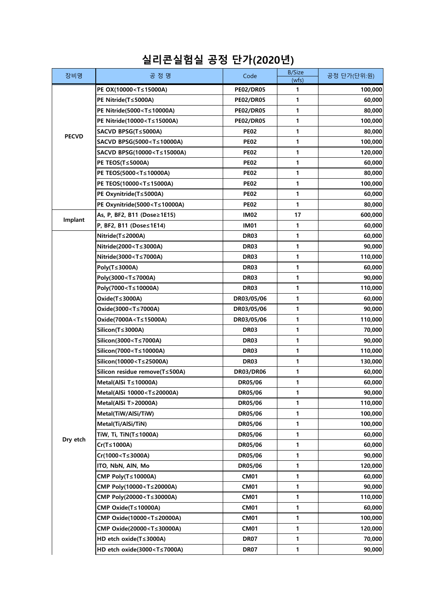| (wfs)<br>PE OX(10000 <t≤15000a)<br>1<br/><b>PE02/DR05</b><br/>100,000<br/>PE Nitride(T≤5000A)<br/><b>PE02/DR05</b><br/>1<br/>60,000<br/>1<br/>80,000<br/>PE Nitride(5000<t≤10000a)<br><b>PE02/DR05</b><br/>1<br/>PE Nitride(10000<t≤15000a)<br><b>PE02/DR05</b><br/>100,000<br/>1<br/>SACVD BPSG(T≤5000A)<br/><b>PE02</b><br/>80,000<br/><b>PECVD</b><br/><b>PE02</b><br/>1<br/>SACVD BPSG(5000<t≤10000a)<br>100,000<br/>1<br/>SACVD BPSG(10000<t≤15000a)<br><b>PE02</b><br/>120,000<br/><b>PE02</b><br/>1<br/><b>PE TEOS(T≤5000A)</b><br/>60,000<br/>1<br/>PE TEOS(5000<t≤10000a)<br><b>PE02</b><br/>80,000<br/>1<br/>PE TEOS(10000<t≤15000a)<br><b>PE02</b><br/>100,000<br/>1<br/>PE Oxynitride(T≤5000A)<br/><b>PE02</b><br/>60,000<br/><b>PE02</b><br/>1<br/>PE Oxynitride(5000<t≤10000a)<br>80,000<br/>17<br/>As, P, BF2, B11 (Dose≥1E15)<br/><b>IM02</b><br/>600,000<br/>Implant<br/>1<br/>60,000<br/>P, BF2, B11 (Dose≤1E14)<br/><b>IM01</b><br/>1<br/>Nitride(T≤2000A)<br/><b>DR03</b><br/>60,000<br/><math>\mathbf{1}</math><br/>Nitride(2000<t≤3000a)<br><b>DR03</b><br/>90,000<br/>1<br/>Nitride(3000<t≤7000a)<br><b>DR03</b><br/>110,000<br/>Poly(T≤3000A)<br/><b>DR03</b><br/>1<br/>60,000<br/>1<br/>Poly(3000<t≤7000a)<br><b>DR03</b><br/>90,000<br/>1<br/>Poly(7000<t≤10000a)<br><b>DR03</b><br/>110,000<br/>1<br/>Oxide(T≤3000A)<br/>60,000<br/>DR03/05/06<br/>1<br/>Oxide(3000<t≤7000a)<br>DR03/05/06<br/>90,000<br/>1<br/>Oxide(7000A<t≤15000a)<br>DR03/05/06<br/>110,000<br/>Silicon(T≤3000A)<br/><b>DR03</b><br/>1<br/>70,000<br/>1<br/>Silicon(3000<t≤7000a)<br>DR03<br/>90,000<br/>1<br/>Silicon(7000<t≤10000a)<br><b>DR03</b><br/>110,000<br/><b>DR03</b><br/>1<br/>130,000<br/>Silicon(10000<t≤25000a)<br>1<br/>Silicon residue remove(T≤500A)<br/>60,000<br/><b>DR03/DR06</b><br/>Metal(AlSi T≤10000A)<br/>1<br/>60,000<br/>DR05/06<br/>1<br/>90,000<br/>Metal(AlSi 10000<t≤20000a)<br>DR05/06<br/>DR05/06<br/>1<br/>110,000<br/>Metal(AlSi T&gt;20000A)<br/>1<br/>100,000<br/>Metal(TiW/AlSi/TiW)<br/>DR05/06<br/>1<br/>Metal(Ti/AlSi/TiN)<br/>100,000<br/>DR05/06<br/>1<br/>TiW, Ti, TiN(T≤1000A)<br/>DR05/06<br/>60,000<br/>Dry etch<br/>1<br/>Cr(T≤1000A)<br/>DR05/06<br/>60,000<br/>1<br/>Cr(1000<t≤3000a)<br>DR05/06<br/>90,000<br/>1<br/>ITO, NbN, AIN, Mo<br/>DR05/06<br/>120,000<br/>1<br/>60,000<br/>CMP Poly(T≤10000A)<br/><b>CM01</b></t≤3000a)<br></t≤20000a)<br></t≤25000a)<br></t≤10000a)<br></t≤7000a)<br></t≤15000a)<br></t≤7000a)<br></t≤10000a)<br></t≤7000a)<br></t≤7000a)<br></t≤3000a)<br></t≤10000a)<br></t≤15000a)<br></t≤10000a)<br></t≤15000a)<br></t≤10000a)<br></t≤15000a)<br></t≤10000a)<br></t≤15000a)<br> | 장비명 | 공정명                                                                                         | Code        | <b>B/Size</b> | 공정 단가(단위:원) |
|------------------------------------------------------------------------------------------------------------------------------------------------------------------------------------------------------------------------------------------------------------------------------------------------------------------------------------------------------------------------------------------------------------------------------------------------------------------------------------------------------------------------------------------------------------------------------------------------------------------------------------------------------------------------------------------------------------------------------------------------------------------------------------------------------------------------------------------------------------------------------------------------------------------------------------------------------------------------------------------------------------------------------------------------------------------------------------------------------------------------------------------------------------------------------------------------------------------------------------------------------------------------------------------------------------------------------------------------------------------------------------------------------------------------------------------------------------------------------------------------------------------------------------------------------------------------------------------------------------------------------------------------------------------------------------------------------------------------------------------------------------------------------------------------------------------------------------------------------------------------------------------------------------------------------------------------------------------------------------------------------------------------------------------------------------------------------------------------------------------------------------------------------------------------------------------------------------------------------------------------------------------------------------------------------------------------------------------------------------------------------------------------------------------------------------------------------------------------------------------------------------------------------------------------------------------------------------------------------------------------------------------------------------------|-----|---------------------------------------------------------------------------------------------|-------------|---------------|-------------|
|                                                                                                                                                                                                                                                                                                                                                                                                                                                                                                                                                                                                                                                                                                                                                                                                                                                                                                                                                                                                                                                                                                                                                                                                                                                                                                                                                                                                                                                                                                                                                                                                                                                                                                                                                                                                                                                                                                                                                                                                                                                                                                                                                                                                                                                                                                                                                                                                                                                                                                                                                                                                                                                                  |     |                                                                                             |             |               |             |
|                                                                                                                                                                                                                                                                                                                                                                                                                                                                                                                                                                                                                                                                                                                                                                                                                                                                                                                                                                                                                                                                                                                                                                                                                                                                                                                                                                                                                                                                                                                                                                                                                                                                                                                                                                                                                                                                                                                                                                                                                                                                                                                                                                                                                                                                                                                                                                                                                                                                                                                                                                                                                                                                  |     |                                                                                             |             |               |             |
|                                                                                                                                                                                                                                                                                                                                                                                                                                                                                                                                                                                                                                                                                                                                                                                                                                                                                                                                                                                                                                                                                                                                                                                                                                                                                                                                                                                                                                                                                                                                                                                                                                                                                                                                                                                                                                                                                                                                                                                                                                                                                                                                                                                                                                                                                                                                                                                                                                                                                                                                                                                                                                                                  |     |                                                                                             |             |               |             |
|                                                                                                                                                                                                                                                                                                                                                                                                                                                                                                                                                                                                                                                                                                                                                                                                                                                                                                                                                                                                                                                                                                                                                                                                                                                                                                                                                                                                                                                                                                                                                                                                                                                                                                                                                                                                                                                                                                                                                                                                                                                                                                                                                                                                                                                                                                                                                                                                                                                                                                                                                                                                                                                                  |     |                                                                                             |             |               |             |
|                                                                                                                                                                                                                                                                                                                                                                                                                                                                                                                                                                                                                                                                                                                                                                                                                                                                                                                                                                                                                                                                                                                                                                                                                                                                                                                                                                                                                                                                                                                                                                                                                                                                                                                                                                                                                                                                                                                                                                                                                                                                                                                                                                                                                                                                                                                                                                                                                                                                                                                                                                                                                                                                  |     |                                                                                             |             |               |             |
|                                                                                                                                                                                                                                                                                                                                                                                                                                                                                                                                                                                                                                                                                                                                                                                                                                                                                                                                                                                                                                                                                                                                                                                                                                                                                                                                                                                                                                                                                                                                                                                                                                                                                                                                                                                                                                                                                                                                                                                                                                                                                                                                                                                                                                                                                                                                                                                                                                                                                                                                                                                                                                                                  |     |                                                                                             |             |               |             |
|                                                                                                                                                                                                                                                                                                                                                                                                                                                                                                                                                                                                                                                                                                                                                                                                                                                                                                                                                                                                                                                                                                                                                                                                                                                                                                                                                                                                                                                                                                                                                                                                                                                                                                                                                                                                                                                                                                                                                                                                                                                                                                                                                                                                                                                                                                                                                                                                                                                                                                                                                                                                                                                                  |     |                                                                                             |             |               |             |
|                                                                                                                                                                                                                                                                                                                                                                                                                                                                                                                                                                                                                                                                                                                                                                                                                                                                                                                                                                                                                                                                                                                                                                                                                                                                                                                                                                                                                                                                                                                                                                                                                                                                                                                                                                                                                                                                                                                                                                                                                                                                                                                                                                                                                                                                                                                                                                                                                                                                                                                                                                                                                                                                  |     |                                                                                             |             |               |             |
|                                                                                                                                                                                                                                                                                                                                                                                                                                                                                                                                                                                                                                                                                                                                                                                                                                                                                                                                                                                                                                                                                                                                                                                                                                                                                                                                                                                                                                                                                                                                                                                                                                                                                                                                                                                                                                                                                                                                                                                                                                                                                                                                                                                                                                                                                                                                                                                                                                                                                                                                                                                                                                                                  |     |                                                                                             |             |               |             |
|                                                                                                                                                                                                                                                                                                                                                                                                                                                                                                                                                                                                                                                                                                                                                                                                                                                                                                                                                                                                                                                                                                                                                                                                                                                                                                                                                                                                                                                                                                                                                                                                                                                                                                                                                                                                                                                                                                                                                                                                                                                                                                                                                                                                                                                                                                                                                                                                                                                                                                                                                                                                                                                                  |     |                                                                                             |             |               |             |
|                                                                                                                                                                                                                                                                                                                                                                                                                                                                                                                                                                                                                                                                                                                                                                                                                                                                                                                                                                                                                                                                                                                                                                                                                                                                                                                                                                                                                                                                                                                                                                                                                                                                                                                                                                                                                                                                                                                                                                                                                                                                                                                                                                                                                                                                                                                                                                                                                                                                                                                                                                                                                                                                  |     |                                                                                             |             |               |             |
|                                                                                                                                                                                                                                                                                                                                                                                                                                                                                                                                                                                                                                                                                                                                                                                                                                                                                                                                                                                                                                                                                                                                                                                                                                                                                                                                                                                                                                                                                                                                                                                                                                                                                                                                                                                                                                                                                                                                                                                                                                                                                                                                                                                                                                                                                                                                                                                                                                                                                                                                                                                                                                                                  |     |                                                                                             |             |               |             |
|                                                                                                                                                                                                                                                                                                                                                                                                                                                                                                                                                                                                                                                                                                                                                                                                                                                                                                                                                                                                                                                                                                                                                                                                                                                                                                                                                                                                                                                                                                                                                                                                                                                                                                                                                                                                                                                                                                                                                                                                                                                                                                                                                                                                                                                                                                                                                                                                                                                                                                                                                                                                                                                                  |     |                                                                                             |             |               |             |
|                                                                                                                                                                                                                                                                                                                                                                                                                                                                                                                                                                                                                                                                                                                                                                                                                                                                                                                                                                                                                                                                                                                                                                                                                                                                                                                                                                                                                                                                                                                                                                                                                                                                                                                                                                                                                                                                                                                                                                                                                                                                                                                                                                                                                                                                                                                                                                                                                                                                                                                                                                                                                                                                  |     |                                                                                             |             |               |             |
|                                                                                                                                                                                                                                                                                                                                                                                                                                                                                                                                                                                                                                                                                                                                                                                                                                                                                                                                                                                                                                                                                                                                                                                                                                                                                                                                                                                                                                                                                                                                                                                                                                                                                                                                                                                                                                                                                                                                                                                                                                                                                                                                                                                                                                                                                                                                                                                                                                                                                                                                                                                                                                                                  |     |                                                                                             |             |               |             |
|                                                                                                                                                                                                                                                                                                                                                                                                                                                                                                                                                                                                                                                                                                                                                                                                                                                                                                                                                                                                                                                                                                                                                                                                                                                                                                                                                                                                                                                                                                                                                                                                                                                                                                                                                                                                                                                                                                                                                                                                                                                                                                                                                                                                                                                                                                                                                                                                                                                                                                                                                                                                                                                                  |     |                                                                                             |             |               |             |
|                                                                                                                                                                                                                                                                                                                                                                                                                                                                                                                                                                                                                                                                                                                                                                                                                                                                                                                                                                                                                                                                                                                                                                                                                                                                                                                                                                                                                                                                                                                                                                                                                                                                                                                                                                                                                                                                                                                                                                                                                                                                                                                                                                                                                                                                                                                                                                                                                                                                                                                                                                                                                                                                  |     |                                                                                             |             |               |             |
|                                                                                                                                                                                                                                                                                                                                                                                                                                                                                                                                                                                                                                                                                                                                                                                                                                                                                                                                                                                                                                                                                                                                                                                                                                                                                                                                                                                                                                                                                                                                                                                                                                                                                                                                                                                                                                                                                                                                                                                                                                                                                                                                                                                                                                                                                                                                                                                                                                                                                                                                                                                                                                                                  |     |                                                                                             |             |               |             |
|                                                                                                                                                                                                                                                                                                                                                                                                                                                                                                                                                                                                                                                                                                                                                                                                                                                                                                                                                                                                                                                                                                                                                                                                                                                                                                                                                                                                                                                                                                                                                                                                                                                                                                                                                                                                                                                                                                                                                                                                                                                                                                                                                                                                                                                                                                                                                                                                                                                                                                                                                                                                                                                                  |     |                                                                                             |             |               |             |
|                                                                                                                                                                                                                                                                                                                                                                                                                                                                                                                                                                                                                                                                                                                                                                                                                                                                                                                                                                                                                                                                                                                                                                                                                                                                                                                                                                                                                                                                                                                                                                                                                                                                                                                                                                                                                                                                                                                                                                                                                                                                                                                                                                                                                                                                                                                                                                                                                                                                                                                                                                                                                                                                  |     |                                                                                             |             |               |             |
|                                                                                                                                                                                                                                                                                                                                                                                                                                                                                                                                                                                                                                                                                                                                                                                                                                                                                                                                                                                                                                                                                                                                                                                                                                                                                                                                                                                                                                                                                                                                                                                                                                                                                                                                                                                                                                                                                                                                                                                                                                                                                                                                                                                                                                                                                                                                                                                                                                                                                                                                                                                                                                                                  |     |                                                                                             |             |               |             |
|                                                                                                                                                                                                                                                                                                                                                                                                                                                                                                                                                                                                                                                                                                                                                                                                                                                                                                                                                                                                                                                                                                                                                                                                                                                                                                                                                                                                                                                                                                                                                                                                                                                                                                                                                                                                                                                                                                                                                                                                                                                                                                                                                                                                                                                                                                                                                                                                                                                                                                                                                                                                                                                                  |     |                                                                                             |             |               |             |
|                                                                                                                                                                                                                                                                                                                                                                                                                                                                                                                                                                                                                                                                                                                                                                                                                                                                                                                                                                                                                                                                                                                                                                                                                                                                                                                                                                                                                                                                                                                                                                                                                                                                                                                                                                                                                                                                                                                                                                                                                                                                                                                                                                                                                                                                                                                                                                                                                                                                                                                                                                                                                                                                  |     |                                                                                             |             |               |             |
|                                                                                                                                                                                                                                                                                                                                                                                                                                                                                                                                                                                                                                                                                                                                                                                                                                                                                                                                                                                                                                                                                                                                                                                                                                                                                                                                                                                                                                                                                                                                                                                                                                                                                                                                                                                                                                                                                                                                                                                                                                                                                                                                                                                                                                                                                                                                                                                                                                                                                                                                                                                                                                                                  |     |                                                                                             |             |               |             |
|                                                                                                                                                                                                                                                                                                                                                                                                                                                                                                                                                                                                                                                                                                                                                                                                                                                                                                                                                                                                                                                                                                                                                                                                                                                                                                                                                                                                                                                                                                                                                                                                                                                                                                                                                                                                                                                                                                                                                                                                                                                                                                                                                                                                                                                                                                                                                                                                                                                                                                                                                                                                                                                                  |     |                                                                                             |             |               |             |
|                                                                                                                                                                                                                                                                                                                                                                                                                                                                                                                                                                                                                                                                                                                                                                                                                                                                                                                                                                                                                                                                                                                                                                                                                                                                                                                                                                                                                                                                                                                                                                                                                                                                                                                                                                                                                                                                                                                                                                                                                                                                                                                                                                                                                                                                                                                                                                                                                                                                                                                                                                                                                                                                  |     |                                                                                             |             |               |             |
|                                                                                                                                                                                                                                                                                                                                                                                                                                                                                                                                                                                                                                                                                                                                                                                                                                                                                                                                                                                                                                                                                                                                                                                                                                                                                                                                                                                                                                                                                                                                                                                                                                                                                                                                                                                                                                                                                                                                                                                                                                                                                                                                                                                                                                                                                                                                                                                                                                                                                                                                                                                                                                                                  |     |                                                                                             |             |               |             |
|                                                                                                                                                                                                                                                                                                                                                                                                                                                                                                                                                                                                                                                                                                                                                                                                                                                                                                                                                                                                                                                                                                                                                                                                                                                                                                                                                                                                                                                                                                                                                                                                                                                                                                                                                                                                                                                                                                                                                                                                                                                                                                                                                                                                                                                                                                                                                                                                                                                                                                                                                                                                                                                                  |     |                                                                                             |             |               |             |
|                                                                                                                                                                                                                                                                                                                                                                                                                                                                                                                                                                                                                                                                                                                                                                                                                                                                                                                                                                                                                                                                                                                                                                                                                                                                                                                                                                                                                                                                                                                                                                                                                                                                                                                                                                                                                                                                                                                                                                                                                                                                                                                                                                                                                                                                                                                                                                                                                                                                                                                                                                                                                                                                  |     |                                                                                             |             |               |             |
|                                                                                                                                                                                                                                                                                                                                                                                                                                                                                                                                                                                                                                                                                                                                                                                                                                                                                                                                                                                                                                                                                                                                                                                                                                                                                                                                                                                                                                                                                                                                                                                                                                                                                                                                                                                                                                                                                                                                                                                                                                                                                                                                                                                                                                                                                                                                                                                                                                                                                                                                                                                                                                                                  |     |                                                                                             |             |               |             |
|                                                                                                                                                                                                                                                                                                                                                                                                                                                                                                                                                                                                                                                                                                                                                                                                                                                                                                                                                                                                                                                                                                                                                                                                                                                                                                                                                                                                                                                                                                                                                                                                                                                                                                                                                                                                                                                                                                                                                                                                                                                                                                                                                                                                                                                                                                                                                                                                                                                                                                                                                                                                                                                                  |     |                                                                                             |             |               |             |
|                                                                                                                                                                                                                                                                                                                                                                                                                                                                                                                                                                                                                                                                                                                                                                                                                                                                                                                                                                                                                                                                                                                                                                                                                                                                                                                                                                                                                                                                                                                                                                                                                                                                                                                                                                                                                                                                                                                                                                                                                                                                                                                                                                                                                                                                                                                                                                                                                                                                                                                                                                                                                                                                  |     |                                                                                             |             |               |             |
|                                                                                                                                                                                                                                                                                                                                                                                                                                                                                                                                                                                                                                                                                                                                                                                                                                                                                                                                                                                                                                                                                                                                                                                                                                                                                                                                                                                                                                                                                                                                                                                                                                                                                                                                                                                                                                                                                                                                                                                                                                                                                                                                                                                                                                                                                                                                                                                                                                                                                                                                                                                                                                                                  |     |                                                                                             |             |               |             |
|                                                                                                                                                                                                                                                                                                                                                                                                                                                                                                                                                                                                                                                                                                                                                                                                                                                                                                                                                                                                                                                                                                                                                                                                                                                                                                                                                                                                                                                                                                                                                                                                                                                                                                                                                                                                                                                                                                                                                                                                                                                                                                                                                                                                                                                                                                                                                                                                                                                                                                                                                                                                                                                                  |     |                                                                                             |             |               |             |
|                                                                                                                                                                                                                                                                                                                                                                                                                                                                                                                                                                                                                                                                                                                                                                                                                                                                                                                                                                                                                                                                                                                                                                                                                                                                                                                                                                                                                                                                                                                                                                                                                                                                                                                                                                                                                                                                                                                                                                                                                                                                                                                                                                                                                                                                                                                                                                                                                                                                                                                                                                                                                                                                  |     |                                                                                             |             |               |             |
|                                                                                                                                                                                                                                                                                                                                                                                                                                                                                                                                                                                                                                                                                                                                                                                                                                                                                                                                                                                                                                                                                                                                                                                                                                                                                                                                                                                                                                                                                                                                                                                                                                                                                                                                                                                                                                                                                                                                                                                                                                                                                                                                                                                                                                                                                                                                                                                                                                                                                                                                                                                                                                                                  |     |                                                                                             |             |               |             |
|                                                                                                                                                                                                                                                                                                                                                                                                                                                                                                                                                                                                                                                                                                                                                                                                                                                                                                                                                                                                                                                                                                                                                                                                                                                                                                                                                                                                                                                                                                                                                                                                                                                                                                                                                                                                                                                                                                                                                                                                                                                                                                                                                                                                                                                                                                                                                                                                                                                                                                                                                                                                                                                                  |     |                                                                                             |             |               |             |
|                                                                                                                                                                                                                                                                                                                                                                                                                                                                                                                                                                                                                                                                                                                                                                                                                                                                                                                                                                                                                                                                                                                                                                                                                                                                                                                                                                                                                                                                                                                                                                                                                                                                                                                                                                                                                                                                                                                                                                                                                                                                                                                                                                                                                                                                                                                                                                                                                                                                                                                                                                                                                                                                  |     |                                                                                             |             |               |             |
|                                                                                                                                                                                                                                                                                                                                                                                                                                                                                                                                                                                                                                                                                                                                                                                                                                                                                                                                                                                                                                                                                                                                                                                                                                                                                                                                                                                                                                                                                                                                                                                                                                                                                                                                                                                                                                                                                                                                                                                                                                                                                                                                                                                                                                                                                                                                                                                                                                                                                                                                                                                                                                                                  |     |                                                                                             |             |               |             |
|                                                                                                                                                                                                                                                                                                                                                                                                                                                                                                                                                                                                                                                                                                                                                                                                                                                                                                                                                                                                                                                                                                                                                                                                                                                                                                                                                                                                                                                                                                                                                                                                                                                                                                                                                                                                                                                                                                                                                                                                                                                                                                                                                                                                                                                                                                                                                                                                                                                                                                                                                                                                                                                                  |     | CMP Poly(10000 <t≤20000a)< td=""><td><b>CM01</b></td><td>1</td><td>90,000</td></t≤20000a)<> | <b>CM01</b> | 1             | 90,000      |
| 1<br>CMP Poly(20000 <t≤30000a)<br><b>CM01</b><br/>110,000</t≤30000a)<br>                                                                                                                                                                                                                                                                                                                                                                                                                                                                                                                                                                                                                                                                                                                                                                                                                                                                                                                                                                                                                                                                                                                                                                                                                                                                                                                                                                                                                                                                                                                                                                                                                                                                                                                                                                                                                                                                                                                                                                                                                                                                                                                                                                                                                                                                                                                                                                                                                                                                                                                                                                                         |     |                                                                                             |             |               |             |
| 1<br>CMP Oxide(T≤10000A)<br><b>CM01</b><br>60,000                                                                                                                                                                                                                                                                                                                                                                                                                                                                                                                                                                                                                                                                                                                                                                                                                                                                                                                                                                                                                                                                                                                                                                                                                                                                                                                                                                                                                                                                                                                                                                                                                                                                                                                                                                                                                                                                                                                                                                                                                                                                                                                                                                                                                                                                                                                                                                                                                                                                                                                                                                                                                |     |                                                                                             |             |               |             |
| 1<br>100,000<br>CMP Oxide(10000 <t≤20000a)<br><b>CM01</b></t≤20000a)<br>                                                                                                                                                                                                                                                                                                                                                                                                                                                                                                                                                                                                                                                                                                                                                                                                                                                                                                                                                                                                                                                                                                                                                                                                                                                                                                                                                                                                                                                                                                                                                                                                                                                                                                                                                                                                                                                                                                                                                                                                                                                                                                                                                                                                                                                                                                                                                                                                                                                                                                                                                                                         |     |                                                                                             |             |               |             |
| 1<br>CMP Oxide(20000 <t≤30000a)<br><b>CM01</b><br/>120,000</t≤30000a)<br>                                                                                                                                                                                                                                                                                                                                                                                                                                                                                                                                                                                                                                                                                                                                                                                                                                                                                                                                                                                                                                                                                                                                                                                                                                                                                                                                                                                                                                                                                                                                                                                                                                                                                                                                                                                                                                                                                                                                                                                                                                                                                                                                                                                                                                                                                                                                                                                                                                                                                                                                                                                        |     |                                                                                             |             |               |             |
| 1<br>HD etch oxide(T≤3000A)<br><b>DR07</b><br>70,000                                                                                                                                                                                                                                                                                                                                                                                                                                                                                                                                                                                                                                                                                                                                                                                                                                                                                                                                                                                                                                                                                                                                                                                                                                                                                                                                                                                                                                                                                                                                                                                                                                                                                                                                                                                                                                                                                                                                                                                                                                                                                                                                                                                                                                                                                                                                                                                                                                                                                                                                                                                                             |     |                                                                                             |             |               |             |
| HD etch oxide(3000 <t≤7000a)<br><b>DR07</b><br/>1<br/>90,000</t≤7000a)<br>                                                                                                                                                                                                                                                                                                                                                                                                                                                                                                                                                                                                                                                                                                                                                                                                                                                                                                                                                                                                                                                                                                                                                                                                                                                                                                                                                                                                                                                                                                                                                                                                                                                                                                                                                                                                                                                                                                                                                                                                                                                                                                                                                                                                                                                                                                                                                                                                                                                                                                                                                                                       |     |                                                                                             |             |               |             |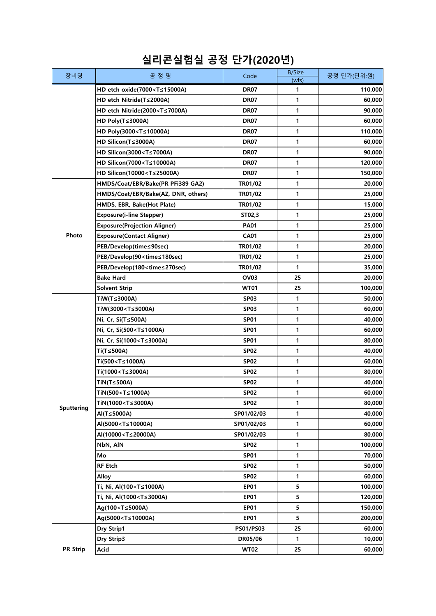| 장비명             | 공 정 명                                                                                            | Code             | <b>B/Size</b><br>(wfs) | 공정 단가(단위:원) |
|-----------------|--------------------------------------------------------------------------------------------------|------------------|------------------------|-------------|
|                 | HD etch oxide(7000 <t≤15000a)< td=""><td><b>DR07</b></td><td>1</td><td>110,000</td></t≤15000a)<> | <b>DR07</b>      | 1                      | 110,000     |
|                 | HD etch Nitride(T≤2000A)                                                                         | <b>DR07</b>      | 1                      | 60,000      |
|                 | HD etch Nitride(2000 <t≤7000a)< td=""><td><b>DR07</b></td><td>1</td><td>90,000</td></t≤7000a)<>  | <b>DR07</b>      | 1                      | 90,000      |
|                 | HD Poly(T≤3000A)                                                                                 | <b>DR07</b>      | 1                      | 60,000      |
|                 | HD Poly(3000 <t≤10000a)< td=""><td><b>DR07</b></td><td>1</td><td>110,000</td></t≤10000a)<>       | <b>DR07</b>      | 1                      | 110,000     |
|                 | HD Silicon(T≤3000A)                                                                              | <b>DR07</b>      | 1                      | 60,000      |
|                 | HD Silicon(3000 <t≤7000a)< td=""><td><b>DR07</b></td><td>1</td><td>90,000</td></t≤7000a)<>       | <b>DR07</b>      | 1                      | 90,000      |
|                 | HD Silicon(7000 <t≤10000a)< td=""><td><b>DR07</b></td><td>1</td><td>120,000</td></t≤10000a)<>    | <b>DR07</b>      | 1                      | 120,000     |
|                 | HD Silicon(10000 <t≤25000a)< td=""><td><b>DR07</b></td><td>1</td><td>150,000</td></t≤25000a)<>   | <b>DR07</b>      | 1                      | 150,000     |
|                 | HMDS/Coat/EBR/Bake(PR PFi389 GA2)                                                                | TR01/02          | 1                      | 20,000      |
|                 | HMDS/Coat/EBR/Bake(AZ, DNR, others)                                                              | TR01/02          | 1                      | 25,000      |
|                 | HMDS, EBR, Bake(Hot Plate)                                                                       | TR01/02          | 1                      | 15,000      |
|                 | <b>Exposure(i-line Stepper)</b>                                                                  | ST02,3           | 1                      | 25,000      |
|                 | <b>Exposure(Projection Aligner)</b>                                                              | <b>PA01</b>      | 1                      | 25,000      |
| Photo           | <b>Exposure(Contact Aligner)</b>                                                                 | <b>CA01</b>      | 1                      | 25,000      |
|                 | PEB/Develop(time≤90sec)                                                                          | TR01/02          | 1                      | 20,000      |
|                 | PEB/Develop(90 <time≤180sec)< td=""><td>TR01/02</td><td>1</td><td>25,000</td></time≤180sec)<>    | TR01/02          | 1                      | 25,000      |
|                 | PEB/Develop(180 <time≤270sec)< td=""><td>TR01/02</td><td>1</td><td>35,000</td></time≤270sec)<>   | TR01/02          | 1                      | 35,000      |
|                 | <b>Bake Hard</b>                                                                                 | OV <sub>03</sub> | 25                     | 20,000      |
|                 | <b>Solvent Strip</b>                                                                             | <b>WT01</b>      | 25                     | 100,000     |
|                 | TiW(T≤3000A)                                                                                     | <b>SP03</b>      | 1                      | 50,000      |
|                 | TiW(3000 <t≤5000a)< td=""><td>SP<sub>03</sub></td><td>1</td><td>60,000</td></t≤5000a)<>          | SP <sub>03</sub> | 1                      | 60,000      |
|                 | Ni, Cr, Si(T≤500A)                                                                               | <b>SP01</b>      | 1                      | 40,000      |
|                 | Ni, Cr, Si(500 <t≤1000a)< td=""><td>SP01</td><td>1</td><td>60,000</td></t≤1000a)<>               | SP01             | 1                      | 60,000      |
|                 | Ni, Cr, Si(1000 <t≤3000a)< td=""><td><b>SP01</b></td><td>1</td><td>80,000</td></t≤3000a)<>       | <b>SP01</b>      | 1                      | 80,000      |
|                 | Ti(T≤500A)                                                                                       | <b>SP02</b>      | 1                      | 40,000      |
|                 | Ti(500 <t≤1000a)< td=""><td><b>SP02</b></td><td>1</td><td>60,000</td></t≤1000a)<>                | <b>SP02</b>      | 1                      | 60,000      |
|                 | Ti(1000 <t≤3000a)< td=""><td>SP<sub>02</sub></td><td>1</td><td>80,000</td></t≤3000a)<>           | SP <sub>02</sub> | 1                      | 80,000      |
|                 | TiN(T≤500A)                                                                                      | <b>SP02</b>      | 1                      | 40,000      |
|                 | TiN(500 <t≤1000a)< td=""><td><b>SP02</b></td><td>1</td><td>60,000</td></t≤1000a)<>               | <b>SP02</b>      | 1                      | 60,000      |
| Sputtering      | TiN(1000 <t≤3000a)< td=""><td><b>SP02</b></td><td>1</td><td>80,000</td></t≤3000a)<>              | <b>SP02</b>      | 1                      | 80,000      |
|                 | Al(T≤5000A)                                                                                      | SP01/02/03       | 1                      | 40,000      |
|                 | AI(5000 <t≤10000a)< td=""><td>SP01/02/03</td><td>1</td><td>60,000</td></t≤10000a)<>              | SP01/02/03       | 1                      | 60,000      |
|                 | Al(10000 <t≤20000a)< td=""><td>SP01/02/03</td><td>1</td><td>80,000</td></t≤20000a)<>             | SP01/02/03       | 1                      | 80,000      |
|                 | NbN, AIN                                                                                         | <b>SP02</b>      | 1                      | 100,000     |
|                 | Mo                                                                                               | <b>SP01</b>      | 1                      | 70,000      |
|                 | <b>RF</b> Etch                                                                                   | SP <sub>02</sub> | 1                      | 50,000      |
|                 | <b>Alloy</b>                                                                                     | <b>SP02</b>      | 1                      | 60,000      |
|                 | Ti, Ni, Al(100 <t≤1000a)< td=""><td><b>EP01</b></td><td>5</td><td>100,000</td></t≤1000a)<>       | <b>EP01</b>      | 5                      | 100,000     |
|                 | Ti, Ni, Al(1000 <t≤3000a)< td=""><td><b>EP01</b></td><td>5</td><td>120,000</td></t≤3000a)<>      | <b>EP01</b>      | 5                      | 120,000     |
|                 | Ag(100 <t≤5000a)< td=""><td><b>EP01</b></td><td>5</td><td>150,000</td></t≤5000a)<>               | <b>EP01</b>      | 5                      | 150,000     |
|                 | Ag(5000 <t≤10000a)< td=""><td><b>EP01</b></td><td>5</td><td>200,000</td></t≤10000a)<>            | <b>EP01</b>      | 5                      | 200,000     |
|                 | Dry Strip1                                                                                       | <b>PS01/PS03</b> | 25                     | 60,000      |
|                 | Dry Strip3                                                                                       | DR05/06          | 1                      | 10,000      |
| <b>PR Strip</b> | Acid                                                                                             | <b>WT02</b>      | 25                     | 60,000      |